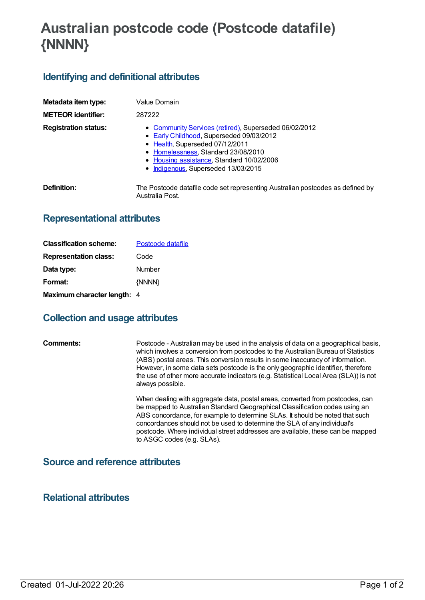# **Australian postcode code (Postcode datafile) {NNNN}**

## **Identifying and definitional attributes**

| Metadata item type:         | Value Domain                                                                                                                                                                                                                                                    |
|-----------------------------|-----------------------------------------------------------------------------------------------------------------------------------------------------------------------------------------------------------------------------------------------------------------|
| <b>METEOR identifier:</b>   | 287222                                                                                                                                                                                                                                                          |
| <b>Registration status:</b> | • Community Services (retired), Superseded 06/02/2012<br>• Early Childhood, Superseded 09/03/2012<br>• Health, Superseded 07/12/2011<br>• Homelessness, Standard 23/08/2010<br>• Housing assistance, Standard 10/02/2006<br>• Indigenous, Superseded 13/03/2015 |
| Definition:                 | The Postcode datafile code set representing Australian postcodes as defined by<br>Australia Post.                                                                                                                                                               |

#### **Representational attributes**

| <b>Classification scheme:</b> | Postcode datafile |
|-------------------------------|-------------------|
| <b>Representation class:</b>  | Code              |
| Data type:                    | Number            |
| Format:                       | {NNNN}            |
| Maximum character length: 4   |                   |

### **Collection and usage attributes**

**Comments:** Postcode - Australian may be used in the analysis of data on a geographical basis, which involves a conversion from postcodes to the Australian Bureau of Statistics (ABS) postal areas. This conversion results in some inaccuracy of information. However, in some data sets postcode is the only geographic identifier, therefore the use of other more accurate indicators (e.g. Statistical Local Area (SLA)) is not always possible.

> When dealing with aggregate data, postal areas, converted from postcodes, can be mapped to Australian Standard Geographical Classification codes using an ABS concordance, for example to determine SLAs. It should be noted that such concordances should not be used to determine the SLA of any individual's postcode. Where individual street addresses are available, these can be mapped to ASGC codes (e.g. SLAs).

#### **Source and reference attributes**

**Relational attributes**